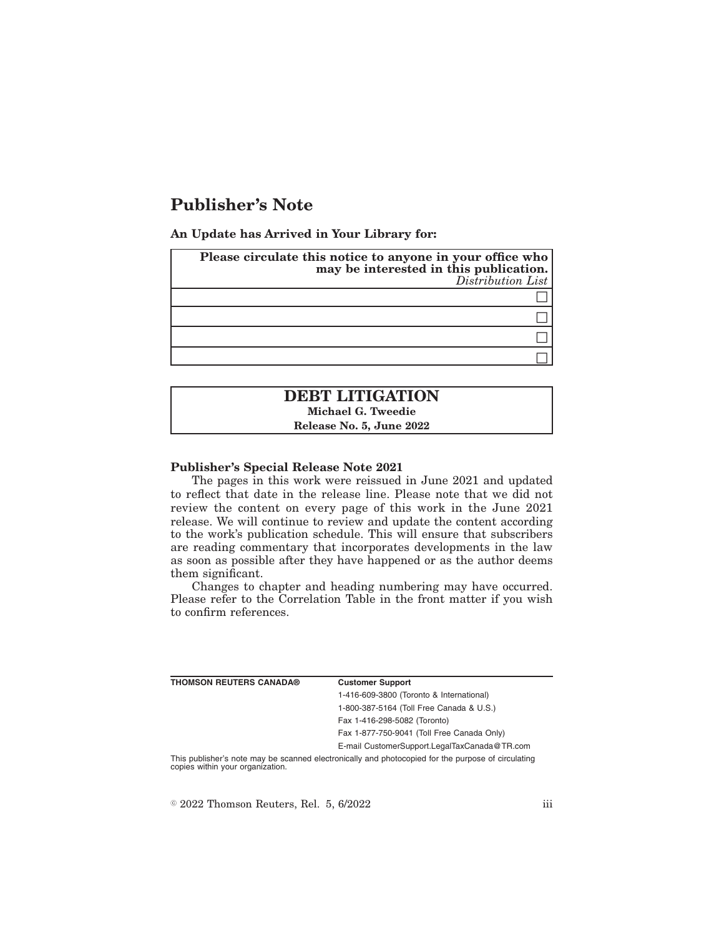# **Publisher's Note**

**An Update has Arrived in Your Library for:**

| Please circulate this notice to anyone in your office who<br>may be interested in this publication.<br>Distribution List |
|--------------------------------------------------------------------------------------------------------------------------|
|                                                                                                                          |
|                                                                                                                          |
|                                                                                                                          |
|                                                                                                                          |

## **DEBT LITIGATION Michael G. Tweedie Release No. 5, June 2022**

#### **Publisher's Special Release Note 2021**

The pages in this work were reissued in June 2021 and updated to reflect that date in the release line. Please note that we did not review the content on every page of this work in the June 2021 release. We will continue to review and update the content according to the work's publication schedule. This will ensure that subscribers are reading commentary that incorporates developments in the law as soon as possible after they have happened or as the author deems them significant.

Changes to chapter and heading numbering may have occurred. Please refer to the Correlation Table in the front matter if you wish to confirm references.

| <b>THOMSON REUTERS CANADA®</b>   | <b>Customer Support</b>                                                                            |
|----------------------------------|----------------------------------------------------------------------------------------------------|
|                                  | 1-416-609-3800 (Toronto & International)                                                           |
|                                  | 1-800-387-5164 (Toll Free Canada & U.S.)                                                           |
|                                  | Fax 1-416-298-5082 (Toronto)                                                                       |
|                                  | Fax 1-877-750-9041 (Toll Free Canada Only)                                                         |
|                                  | E-mail CustomerSupport.LegalTaxCanada@TR.com                                                       |
| copies within your organization. | This publisher's note may be scanned electronically and photocopied for the purpose of circulating |

 $\degree$  2022 Thomson Reuters, Rel. 5, 6/2022 iii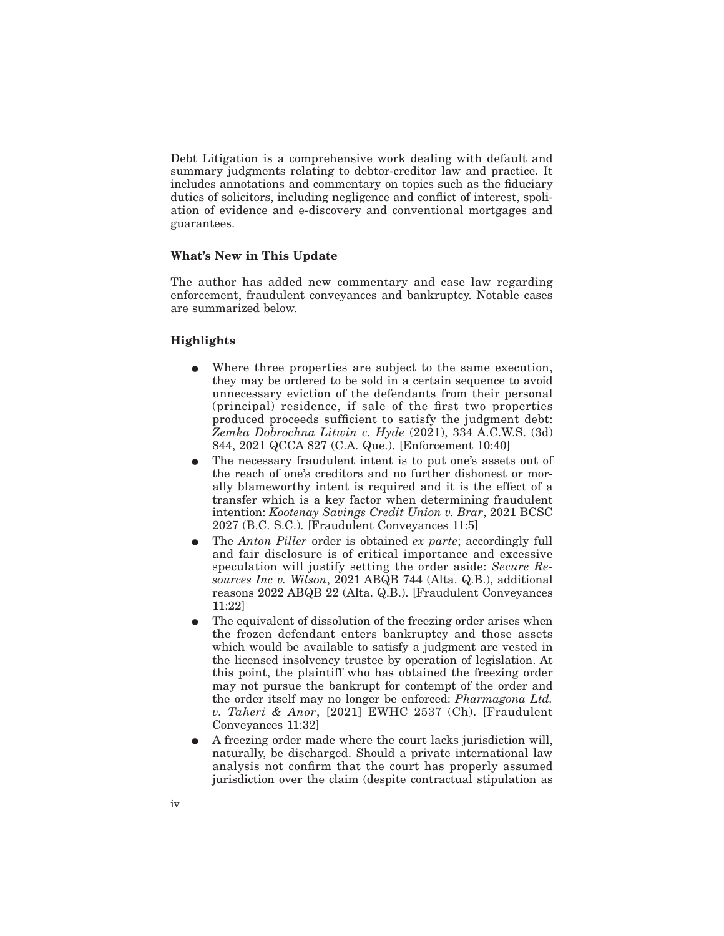Debt Litigation is a comprehensive work dealing with default and summary judgments relating to debtor-creditor law and practice. It includes annotations and commentary on topics such as the fiduciary duties of solicitors, including negligence and conflict of interest, spoliation of evidence and e-discovery and conventional mortgages and guarantees.

#### **What's New in This Update**

The author has added new commentary and case law regarding enforcement, fraudulent conveyances and bankruptcy. Notable cases are summarized below.

#### **Highlights**

- E Where three properties are subject to the same execution, they may be ordered to be sold in a certain sequence to avoid unnecessary eviction of the defendants from their personal (principal) residence, if sale of the first two properties produced proceeds sufficient to satisfy the judgment debt: *Zemka Dobrochna Litwin c. Hyde* (2021), 334 A.C.W.S. (3d) 844, 2021 QCCA 827 (C.A. Que.). [Enforcement 10:40]
- The necessary fraudulent intent is to put one's assets out of the reach of one's creditors and no further dishonest or morally blameworthy intent is required and it is the effect of a transfer which is a key factor when determining fraudulent intention: *Kootenay Savings Credit Union v. Brar*, 2021 BCSC 2027 (B.C. S.C.). [Fraudulent Conveyances 11:5]
- E The *Anton Piller* order is obtained *ex parte*; accordingly full and fair disclosure is of critical importance and excessive speculation will justify setting the order aside: *Secure Resources Inc v. Wilson*, 2021 ABQB 744 (Alta. Q.B.), additional reasons 2022 ABQB 22 (Alta. Q.B.). [Fraudulent Conveyances 11:22]
- The equivalent of dissolution of the freezing order arises when the frozen defendant enters bankruptcy and those assets which would be available to satisfy a judgment are vested in the licensed insolvency trustee by operation of legislation. At this point, the plaintiff who has obtained the freezing order may not pursue the bankrupt for contempt of the order and the order itself may no longer be enforced: *Pharmagona Ltd. v. Taheri & Anor*, [2021] EWHC 2537 (Ch). [Fraudulent Conveyances 11:32]
- E A freezing order made where the court lacks jurisdiction will, naturally, be discharged. Should a private international law analysis not confirm that the court has properly assumed jurisdiction over the claim (despite contractual stipulation as